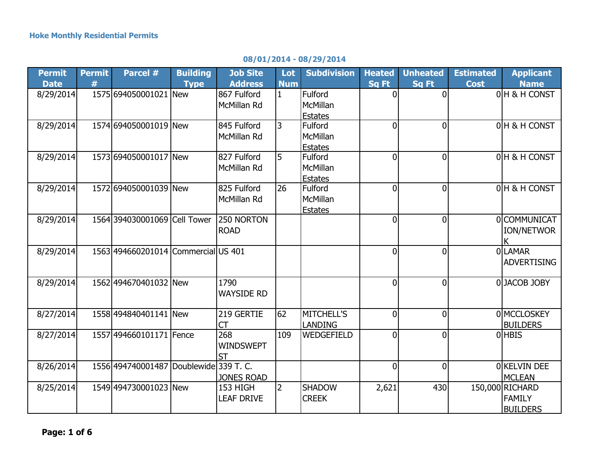|  | 08/01/2014 - 08/29/2014 |  |  |
|--|-------------------------|--|--|
|--|-------------------------|--|--|

| <b>Permit</b> | <b>Permit</b> | Parcel #                               | <b>Building</b> | <b>Job Site</b>   | Lot            | <b>Subdivision</b> | <b>Heated</b>  | <b>Unheated</b> | <b>Estimated</b> | <b>Applicant</b>   |
|---------------|---------------|----------------------------------------|-----------------|-------------------|----------------|--------------------|----------------|-----------------|------------------|--------------------|
| <b>Date</b>   | #             |                                        | <b>Type</b>     | <b>Address</b>    | <b>Num</b>     |                    | <b>Sq Ft</b>   | <b>Sq Ft</b>    | <b>Cost</b>      | <b>Name</b>        |
| 8/29/2014     |               | 1575 694050001021 New                  |                 | 867 Fulford       | $\mathbf{1}$   | Fulford            | 0              | $\Omega$        |                  | OH & H CONST       |
|               |               |                                        |                 | McMillan Rd       |                | <b>McMillan</b>    |                |                 |                  |                    |
|               |               |                                        |                 |                   |                | <b>Estates</b>     |                |                 |                  |                    |
| 8/29/2014     |               | 1574 694050001019 New                  |                 | 845 Fulford       | $\overline{3}$ | Fulford            | $\overline{0}$ | $\Omega$        |                  | 0 H & H CONST      |
|               |               |                                        |                 | McMillan Rd       |                | McMillan           |                |                 |                  |                    |
|               |               |                                        |                 |                   |                | <b>Estates</b>     |                |                 |                  |                    |
| 8/29/2014     |               | 1573 694050001017 New                  |                 | 827 Fulford       | 5              | <b>Fulford</b>     | $\Omega$       | $\overline{0}$  |                  | 0 H & H CONST      |
|               |               |                                        |                 | McMillan Rd       |                | McMillan           |                |                 |                  |                    |
|               |               |                                        |                 |                   |                | <b>Estates</b>     |                |                 |                  |                    |
| 8/29/2014     |               | 1572 694050001039 New                  |                 | 825 Fulford       | 26             | Fulford            | 0l             | $\overline{0}$  |                  | 0 H & H CONST      |
|               |               |                                        |                 | McMillan Rd       |                | <b>McMillan</b>    |                |                 |                  |                    |
|               |               |                                        |                 |                   |                | <b>Estates</b>     |                |                 |                  |                    |
| 8/29/2014     |               | 1564 394030001069 Cell Tower           |                 | 250 NORTON        |                |                    | $\overline{0}$ | $\Omega$        |                  | <b>OCOMMUNICAT</b> |
|               |               |                                        |                 | <b>ROAD</b>       |                |                    |                |                 |                  | <b>ION/NETWOR</b>  |
|               |               |                                        |                 |                   |                |                    |                |                 |                  |                    |
| 8/29/2014     |               | 1563 494660201014 Commercial US 401    |                 |                   |                |                    | $\overline{0}$ | $\overline{0}$  |                  | <b>OLAMAR</b>      |
|               |               |                                        |                 |                   |                |                    |                |                 |                  | <b>ADVERTISING</b> |
|               |               |                                        |                 |                   |                |                    |                |                 |                  |                    |
| 8/29/2014     |               | 1562 494670401032 New                  |                 | 1790              |                |                    | $\overline{0}$ | $\overline{0}$  |                  | 0JACOB JOBY        |
|               |               |                                        |                 | <b>WAYSIDE RD</b> |                |                    |                |                 |                  |                    |
|               |               |                                        |                 |                   |                |                    |                |                 |                  |                    |
| 8/27/2014     |               | 1558 494840401141 New                  |                 | 219 GERTIE        | 62             | <b>MITCHELL'S</b>  | $\overline{0}$ | $\overline{0}$  |                  | 0 MCCLOSKEY        |
|               |               |                                        |                 | <b>CT</b>         |                | LANDING            |                |                 |                  | <b>BUILDERS</b>    |
| 8/27/2014     |               | 1557 494660101171 Fence                |                 | 268               | 109            | WEDGEFIELD         | $\overline{0}$ | $\Omega$        |                  | <b>OHBIS</b>       |
|               |               |                                        |                 | <b>WINDSWEPT</b>  |                |                    |                |                 |                  |                    |
|               |               |                                        |                 | <b>ST</b>         |                |                    |                |                 |                  |                    |
| 8/26/2014     |               | 1556 494740001487 Doublewide 339 T. C. |                 |                   |                |                    | $\overline{0}$ | $\overline{0}$  |                  | OKELVIN DEE        |
|               |               |                                        |                 | <b>JONES ROAD</b> |                |                    |                |                 |                  | <b>MCLEAN</b>      |
| 8/25/2014     |               | 1549 494730001023 New                  |                 | 153 HIGH          | <b>2</b>       | <b>SHADOW</b>      | 2,621          | 430             |                  | 150,000 RICHARD    |
|               |               |                                        |                 | <b>LEAF DRIVE</b> |                | <b>CREEK</b>       |                |                 |                  | <b>FAMILY</b>      |
|               |               |                                        |                 |                   |                |                    |                |                 |                  | <b>BUILDERS</b>    |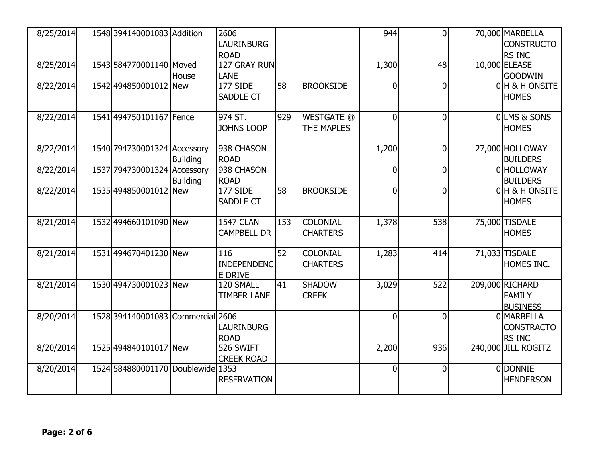| 8/25/2014 | 1548 394140001083 Addition        |                 | 2606<br><b>LAURINBURG</b> |     |                   | 944            | $\overline{0}$ | 70,000 MARBELLA<br><b>CONSTRUCTO</b> |
|-----------|-----------------------------------|-----------------|---------------------------|-----|-------------------|----------------|----------------|--------------------------------------|
|           |                                   |                 | <b>ROAD</b>               |     |                   |                |                | RS INC                               |
| 8/25/2014 | 1543 584770001140 Moved           |                 | 127 GRAY RUN              |     |                   | 1,300          | 48             | 10,000 ELEASE                        |
|           |                                   | House           | LANE                      |     |                   |                |                | <b>GOODWIN</b>                       |
| 8/22/2014 | 1542 494850001012 New             |                 | 177 SIDE                  | 58  | <b>BROOKSIDE</b>  | $\mathbf{0}$   | 0              | 0H & H ONSITE                        |
|           |                                   |                 | SADDLE CT                 |     |                   |                |                | <b>HOMES</b>                         |
| 8/22/2014 | 1541 494750101167 Fence           |                 | 974 ST.                   | 929 | <b>WESTGATE @</b> | $\overline{0}$ | $\overline{0}$ | <b>OLMS &amp; SONS</b>               |
|           |                                   |                 | <b>JOHNS LOOP</b>         |     | <b>THE MAPLES</b> |                |                | <b>HOMES</b>                         |
| 8/22/2014 | 1540 794730001324 Accessory       |                 | 938 CHASON                |     |                   | 1,200          | $\overline{0}$ | 27,000 HOLLOWAY                      |
|           |                                   | <b>Building</b> | <b>ROAD</b>               |     |                   |                |                | <b>BUILDERS</b>                      |
| 8/22/2014 | 1537 794730001324 Accessory       |                 | 938 CHASON                |     |                   | $\Omega$       | $\overline{0}$ | 0 HOLLOWAY                           |
|           |                                   | <b>Building</b> | <b>ROAD</b>               |     |                   |                |                | <b>BUILDERS</b>                      |
| 8/22/2014 | 1535 494850001012 New             |                 | 177 SIDE                  | 58  | <b>BROOKSIDE</b>  | $\overline{0}$ | 0              | 0 H & H ONSITE                       |
|           |                                   |                 | <b>SADDLE CT</b>          |     |                   |                |                | <b>HOMES</b>                         |
| 8/21/2014 | 1532 494660101090 New             |                 | <b>1547 CLAN</b>          | 153 | <b>COLONIAL</b>   | 1,378          | 538            | 75,000 TISDALE                       |
|           |                                   |                 | <b>CAMPBELL DR</b>        |     | <b>CHARTERS</b>   |                |                | <b>HOMES</b>                         |
|           |                                   |                 |                           |     |                   |                |                |                                      |
| 8/21/2014 | 1531 494670401230 New             |                 | 116                       | 52  | <b>COLONIAL</b>   | 1,283          | 414            | 71,033 TISDALE                       |
|           |                                   |                 | <b>INDEPENDENC</b>        |     | <b>CHARTERS</b>   |                |                | HOMES INC.                           |
|           |                                   |                 | E DRIVE                   |     |                   |                |                |                                      |
| 8/21/2014 | 1530 494730001023 New             |                 | 120 SMALL                 | 41  | <b>SHADOW</b>     | 3,029          | 522            | 209,000 RICHARD                      |
|           |                                   |                 | <b>TIMBER LANE</b>        |     | <b>CREEK</b>      |                |                | <b>FAMILY</b>                        |
|           |                                   |                 |                           |     |                   |                |                | <b>BUSINESS</b>                      |
| 8/20/2014 | 1528 394140001083 Commercial 2606 |                 |                           |     |                   | $\Omega$       | 0              | 0 MARBELLA                           |
|           |                                   |                 | <b>LAURINBURG</b>         |     |                   |                |                | <b>CONSTRACTO</b>                    |
|           |                                   |                 | <b>ROAD</b>               |     |                   |                |                | RS INC                               |
| 8/20/2014 | 1525 494840101017 New             |                 | 526 SWIFT                 |     |                   | 2,200          | 936            | 240,000 JILL ROGITZ                  |
|           |                                   |                 | <b>CREEK ROAD</b>         |     |                   |                |                |                                      |
| 8/20/2014 | 1524 584880001170 Doublewide 1353 |                 |                           |     |                   | $\mathbf{0}$   | $\overline{0}$ | 0 DONNIE                             |
|           |                                   |                 | <b>RESERVATION</b>        |     |                   |                |                | <b>HENDERSON</b>                     |
|           |                                   |                 |                           |     |                   |                |                |                                      |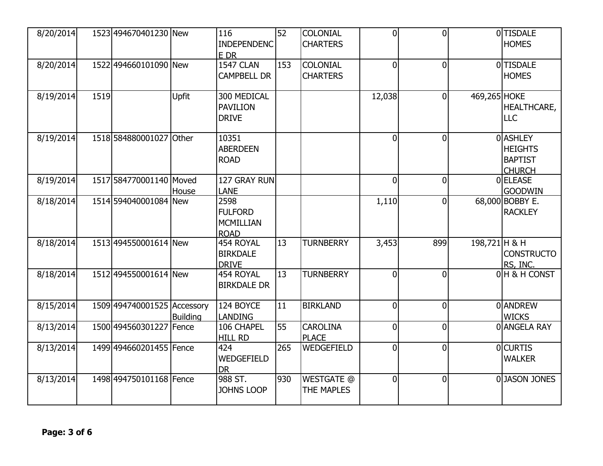| 8/20/2014 |      | 1523 494670401230 New       |                 | 116<br><b>INDEPENDENC</b>       | 52  | <b>COLONIAL</b><br><b>CHARTERS</b> | $\overline{0}$ | $\overline{0}$ |               | 0 TISDALE<br><b>HOMES</b> |
|-----------|------|-----------------------------|-----------------|---------------------------------|-----|------------------------------------|----------------|----------------|---------------|---------------------------|
|           |      |                             |                 | E DR                            |     |                                    |                |                |               |                           |
| 8/20/2014 |      | 1522 494660101090 New       |                 | 1547 CLAN                       | 153 | <b>COLONIAL</b>                    | $\overline{0}$ | $\overline{0}$ |               | 0 TISDALE                 |
|           |      |                             |                 | <b>CAMPBELL DR</b>              |     | <b>CHARTERS</b>                    |                |                |               | <b>HOMES</b>              |
| 8/19/2014 | 1519 |                             | <b>Upfit</b>    | 300 MEDICAL                     |     |                                    | 12,038         | $\overline{0}$ | 469,265 HOKE  |                           |
|           |      |                             |                 | PAVILION                        |     |                                    |                |                |               | <b>HEALTHCARE,</b>        |
|           |      |                             |                 | <b>DRIVE</b>                    |     |                                    |                |                |               | <b>LLC</b>                |
| 8/19/2014 |      | 1518 584880001027 Other     |                 | 10351                           |     |                                    | $\overline{0}$ | $\overline{0}$ |               | 0 ASHLEY                  |
|           |      |                             |                 | <b>ABERDEEN</b>                 |     |                                    |                |                |               | <b>HEIGHTS</b>            |
|           |      |                             |                 | <b>ROAD</b>                     |     |                                    |                |                |               | <b>BAPTIST</b>            |
|           |      |                             |                 |                                 |     |                                    |                |                |               | <b>CHURCH</b>             |
| 8/19/2014 |      | 1517 584770001140 Moved     |                 | 127 GRAY RUN                    |     |                                    | $\overline{0}$ | $\overline{0}$ |               | 0 ELEASE                  |
|           |      |                             | House           | LANE                            |     |                                    |                |                |               | <b>GOODWIN</b>            |
| 8/18/2014 |      | 1514 594040001084 New       |                 | 2598                            |     |                                    | 1,110          | $\overline{0}$ |               | 68,000 BOBBY E.           |
|           |      |                             |                 | <b>FULFORD</b>                  |     |                                    |                |                |               | <b>RACKLEY</b>            |
|           |      |                             |                 | <b>MCMILLIAN</b><br><b>ROAD</b> |     |                                    |                |                |               |                           |
| 8/18/2014 |      | 1513 494550001614 New       |                 | 454 ROYAL                       | 13  | <b>TURNBERRY</b>                   | 3,453          | 899            | 198,721 H & H |                           |
|           |      |                             |                 | <b>BIRKDALE</b>                 |     |                                    |                |                |               | <b>CONSTRUCTO</b>         |
|           |      |                             |                 | <b>DRIVE</b>                    |     |                                    |                |                |               | RS, INC.                  |
| 8/18/2014 |      | 1512 494550001614 New       |                 | 454 ROYAL                       | 13  | <b>TURNBERRY</b>                   | $\overline{0}$ | $\overline{0}$ |               | 0 H & H CONST             |
|           |      |                             |                 | <b>BIRKDALE DR</b>              |     |                                    |                |                |               |                           |
| 8/15/2014 |      | 1509 494740001525 Accessory |                 | 124 BOYCE                       | 11  | <b>BIRKLAND</b>                    | $\Omega$       | $\overline{0}$ |               | 0 ANDREW                  |
|           |      |                             | <b>Building</b> | <b>LANDING</b>                  |     |                                    |                |                |               | <b>WICKS</b>              |
| 8/13/2014 |      | 1500 494560301227 Fence     |                 | 106 CHAPEL                      | 55  | <b>CAROLINA</b>                    | $\overline{0}$ | $\overline{0}$ |               | 0 ANGELA RAY              |
|           |      |                             |                 | <b>HILL RD</b>                  |     | <b>PLACE</b>                       |                |                |               |                           |
| 8/13/2014 |      | 1499 494660201455   Fence   |                 | 424                             | 265 | WEDGEFIELD                         | $\overline{0}$ | $\overline{0}$ |               | <b>OCURTIS</b>            |
|           |      |                             |                 | WEDGEFIELD                      |     |                                    |                |                |               | <b>WALKER</b>             |
|           |      |                             |                 | <b>DR</b>                       |     |                                    |                |                |               |                           |
| 8/13/2014 |      | 1498 494750101168 Fence     |                 | 988 ST.                         | 930 | <b>WESTGATE @</b>                  | $\mathbf 0$    | $\overline{0}$ |               | 0 JASON JONES             |
|           |      |                             |                 | <b>JOHNS LOOP</b>               |     | THE MAPLES                         |                |                |               |                           |
|           |      |                             |                 |                                 |     |                                    |                |                |               |                           |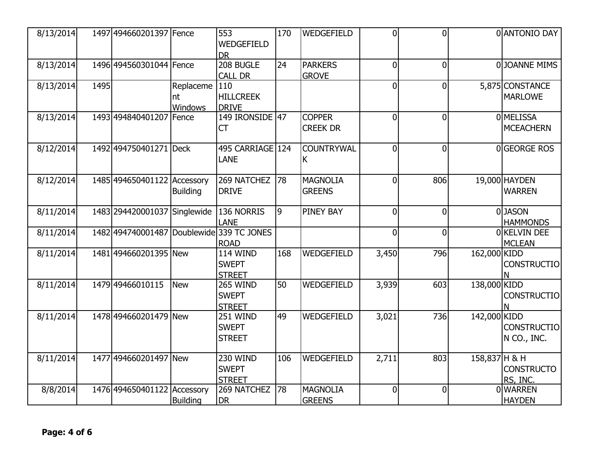| 8/13/2014 |      | 1497 494660201397 Fence      |                            | 553<br>WEDGEFIELD<br><b>DR</b>                   | 170 | WEDGEFIELD                       | $\overline{0}$ | $\overline{0}$ |               | 0 ANTONIO DAY                     |
|-----------|------|------------------------------|----------------------------|--------------------------------------------------|-----|----------------------------------|----------------|----------------|---------------|-----------------------------------|
| 8/13/2014 |      | 1496 494560301044 Fence      |                            | 208 BUGLE<br><b>CALL DR</b>                      | 24  | <b>PARKERS</b><br><b>GROVE</b>   | $\overline{0}$ | $\overline{0}$ |               | 0JOANNE MIMS                      |
| 8/13/2014 | 1495 |                              | Replaceme<br>nt<br>Windows | 110<br><b>HILLCREEK</b><br><b>DRIVE</b>          |     |                                  | $\overline{0}$ | $\overline{0}$ |               | 5,875 CONSTANCE<br><b>MARLOWE</b> |
| 8/13/2014 |      | 1493 494840401207 Fence      |                            | 149 IRONSIDE 47<br><b>CT</b>                     |     | <b>COPPER</b><br><b>CREEK DR</b> | $\overline{0}$ | $\overline{0}$ |               | 0 MELISSA<br><b>MCEACHERN</b>     |
| 8/12/2014 |      | 1492 494750401271 Deck       |                            | 495 CARRIAGE 124<br>LANE                         |     | <b>COUNTRYWAL</b><br>K           | $\Omega$       | $\overline{0}$ |               | 0GEORGE ROS                       |
| 8/12/2014 |      | 1485 494650401122 Accessory  | <b>Building</b>            | 269 NATCHEZ<br><b>DRIVE</b>                      | 78  | <b>MAGNOLIA</b><br><b>GREENS</b> | $\overline{0}$ | 806            |               | 19,000 HAYDEN<br><b>WARREN</b>    |
| 8/11/2014 |      | 1483 294420001037 Singlewide |                            | 136 NORRIS<br><b>LANE</b>                        | 9   | <b>PINEY BAY</b>                 | $\overline{0}$ | $\overline{0}$ |               | 0JASON<br><b>HAMMONDS</b>         |
| 8/11/2014 |      | 1482 494740001487 Doublewide |                            | 339 TC JONES<br><b>ROAD</b>                      |     |                                  | $\overline{0}$ | $\overline{0}$ |               | OKELVIN DEE<br><b>MCLEAN</b>      |
| 8/11/2014 |      | 1481 494660201395 New        |                            | <b>114 WIND</b><br><b>SWEPT</b><br><b>STREET</b> | 168 | WEDGEFIELD                       | 3,450          | 796            | 162,000 KIDD  | <b>CONSTRUCTIO</b>                |
| 8/11/2014 |      | 1479 49466010115             | New                        | <b>265 WIND</b><br><b>SWEPT</b><br><b>STREET</b> | 50  | WEDGEFIELD                       | 3,939          | 603            | 138,000 KIDD  | <b>CONSTRUCTIO</b>                |
| 8/11/2014 |      | 1478 494660201479 New        |                            | <b>251 WIND</b><br><b>SWEPT</b><br><b>STREET</b> | 49  | <b>WEDGEFIELD</b>                | 3,021          | 736            | 142,000 KIDD  | <b>CONSTRUCTIO</b><br>N CO., INC. |
| 8/11/2014 |      | 1477 494660201497 New        |                            | <b>230 WIND</b><br><b>SWEPT</b><br><b>STREET</b> | 106 | WEDGEFIELD                       | 2,711          | 803            | 158,837 H & H | <b>CONSTRUCTO</b><br>RS, INC.     |
| 8/8/2014  |      | 1476 494650401122 Accessory  | <b>Building</b>            | 269 NATCHEZ<br><b>DR</b>                         | 78  | <b>MAGNOLIA</b><br><b>GREENS</b> | $\overline{0}$ | $\overline{0}$ |               | 0 WARREN<br><b>HAYDEN</b>         |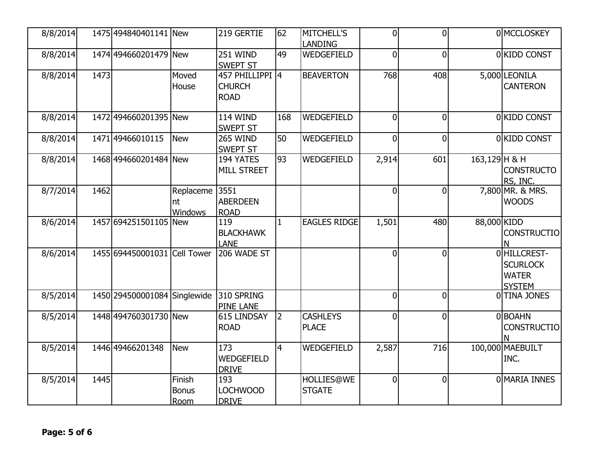| 8/8/2014 |      | 1475 494840401141 New        |                                       | 219 GERTIE                                      | 62             | <b>MITCHELL'S</b><br><b>LANDING</b> | $\overline{0}$ | $\overline{0}$ |                  | 0 MCCLOSKEY                                                      |
|----------|------|------------------------------|---------------------------------------|-------------------------------------------------|----------------|-------------------------------------|----------------|----------------|------------------|------------------------------------------------------------------|
| 8/8/2014 |      | 1474 494660201479 New        |                                       | <b>251 WIND</b><br><b>SWEPT ST</b>              | 49             | WEDGEFIELD                          | $\overline{0}$ | $\overline{0}$ |                  | 0 KIDD CONST                                                     |
| 8/8/2014 | 1473 |                              | Moved<br>House                        | 457 PHILLIPPI 4<br><b>CHURCH</b><br><b>ROAD</b> |                | <b>BEAVERTON</b>                    | 768            | 408            |                  | 5,000 LEONILA<br><b>CANTERON</b>                                 |
| 8/8/2014 |      | 1472 494660201395 New        |                                       | <b>114 WIND</b><br><b>SWEPT ST</b>              | 168            | WEDGEFIELD                          | $\overline{0}$ | $\overline{0}$ |                  | 0 KIDD CONST                                                     |
| 8/8/2014 |      | 1471 49466010115             | New                                   | 265 WIND<br><b>SWEPT ST</b>                     | 50             | WEDGEFIELD                          | $\overline{0}$ | $\overline{0}$ |                  | 0 KIDD CONST                                                     |
| 8/8/2014 |      | 1468 494660201484 New        |                                       | 194 YATES<br><b>MILL STREET</b>                 | 93             | WEDGEFIELD                          | 2,914          | 601            | $163, 129$ H & H | <b>CONSTRUCTO</b><br>RS, INC.                                    |
| 8/7/2014 | 1462 |                              | Replaceme<br>nt<br><b>Windows</b>     | 3551<br><b>ABERDEEN</b><br><b>ROAD</b>          |                |                                     | $\overline{0}$ | $\overline{0}$ |                  | 7,800 MR. & MRS.<br><b>WOODS</b>                                 |
| 8/6/2014 |      | 1457 694251501105 New        |                                       | 119<br><b>BLACKHAWK</b><br><b>LANE</b>          | $\mathbf{1}$   | <b>EAGLES RIDGE</b>                 | 1,501          | 480            | 88,000 KIDD      | <b>CONSTRUCTIO</b><br>N                                          |
| 8/6/2014 |      | 1455 694450001031 Cell Tower |                                       | 206 WADE ST                                     |                |                                     | $\overline{0}$ | $\overline{0}$ |                  | 0 HILLCREST-<br><b>SCURLOCK</b><br><b>WATER</b><br><b>SYSTEM</b> |
| 8/5/2014 |      | 1450 294500001084 Singlewide |                                       | 310 SPRING<br><b>PINE LANE</b>                  |                |                                     | $\overline{0}$ | $\overline{0}$ |                  | 0 TINA JONES                                                     |
| 8/5/2014 |      | 1448 494760301730 New        |                                       | 615 LINDSAY<br><b>ROAD</b>                      | $\overline{2}$ | <b>CASHLEYS</b><br><b>PLACE</b>     | $\overline{0}$ | $\overline{0}$ |                  | 0 BOAHN<br><b>CONSTRUCTIO</b>                                    |
| 8/5/2014 |      | 1446 49466201348             | <b>New</b>                            | 173<br>WEDGEFIELD<br><b>DRIVE</b>               | $\overline{4}$ | WEDGEFIELD                          | 2,587          | 716            |                  | 100,000 MAEBUILT<br>INC.                                         |
| 8/5/2014 | 1445 |                              | Finish<br><b>Bonus</b><br><b>Room</b> | 193<br><b>LOCHWOOD</b><br><b>DRIVE</b>          |                | <b>HOLLIES@WE</b><br><b>STGATE</b>  | $\overline{0}$ | $\overline{0}$ |                  | O MARIA INNES                                                    |